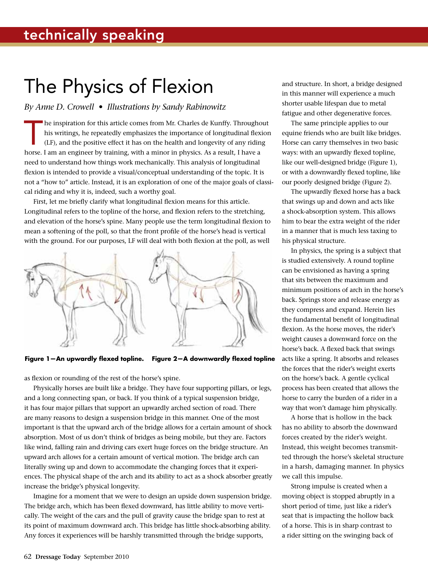## The Physics of Flexion

## *By Anne D. Crowell • Illustrations by Sandy Rabinowitz*

The inspiration for this article comes from Mr. Charles de Kunffy. Throughout his writings, he repeatedly emphasizes the importance of longitudinal flexion (LF), and the positive effect it has on the health and longevity of any riding horse. I am an engineer by training, with a minor in physics. As a result, I have a need to understand how things work mechanically. This analysis of longitudinal flexion is intended to provide a visual/conceptual understanding of the topic. It is not a "how to" article. Instead, it is an exploration of one of the major goals of classical riding and why it is, indeed, such a worthy goal.

First, let me briefly clarify what longitudinal flexion means for this article. Longitudinal refers to the topline of the horse, and flexion refers to the stretching, and elevation of the horse's spine. Many people use the term longitudinal flexion to mean a softening of the poll, so that the front profile of the horse's head is vertical with the ground. For our purposes, LF will deal with both flexion at the poll, as well



**Figure 1—An upwardly flexed topline. Figure 2—A downwardly flexed topline**

as flexion or rounding of the rest of the horse's spine.

Physically horses are built like a bridge. They have four supporting pillars, or legs, and a long connecting span, or back. If you think of a typical suspension bridge, it has four major pillars that support an upwardly arched section of road. There are many reasons to design a suspension bridge in this manner. One of the most important is that the upward arch of the bridge allows for a certain amount of shock absorption. Most of us don't think of bridges as being mobile, but they are. Factors like wind, falling rain and driving cars exert huge forces on the bridge structure. An upward arch allows for a certain amount of vertical motion. The bridge arch can literally swing up and down to accommodate the changing forces that it experiences. The physical shape of the arch and its ability to act as a shock absorber greatly increase the bridge's physical longevity.

Imagine for a moment that we were to design an upside down suspension bridge. The bridge arch, which has been flexed downward, has little ability to move vertically. The weight of the cars and the pull of gravity cause the bridge span to rest at its point of maximum downward arch. This bridge has little shock-absorbing ability. Any forces it experiences will be harshly transmitted through the bridge supports,

and structure. In short, a bridge designed in this manner will experience a much shorter usable lifespan due to metal fatigue and other degenerative forces.

The same principle applies to our equine friends who are built like bridges. Horse can carry themselves in two basic ways: with an upwardly flexed topline, like our well-designed bridge (Figure 1), or with a downwardly flexed topline, like our poorly designed bridge (Figure 2).

The upwardly flexed horse has a back that swings up and down and acts like a shock-absorption system. This allows him to bear the extra weight of the rider in a manner that is much less taxing to his physical structure.

In physics, the spring is a subject that is studied extensively. A round topline can be envisioned as having a spring that sits between the maximum and minimum positions of arch in the horse's back. Springs store and release energy as they compress and expand. Herein lies the fundamental benefit of longitudinal flexion. As the horse moves, the rider's weight causes a downward force on the horse's back. A flexed back that swings acts like a spring. It absorbs and releases the forces that the rider's weight exerts on the horse's back. A gentle cyclical process has been created that allows the horse to carry the burden of a rider in a way that won't damage him physically.

A horse that is hollow in the back has no ability to absorb the downward forces created by the rider's weight. Instead, this weight becomes transmitted through the horse's skeletal structure in a harsh, damaging manner. In physics we call this impulse.

Strong impulse is created when a moving object is stopped abruptly in a short period of time, just like a rider's seat that is impacting the hollow back of a horse. This is in sharp contrast to a rider sitting on the swinging back of